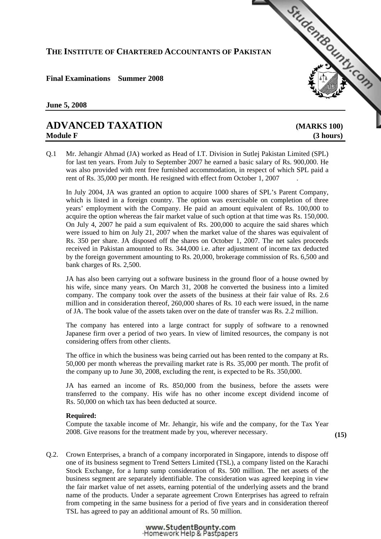# **THE INSTITUTE OF CHARTERED ACCOUNTANTS OF PAKISTAN**

## **Final Examinations Summer 2008**

**June 5, 2008** 

# **ADVANCED TAXATION [\(MARKS 100\)](http://www.studentbounty.com)  Module F** (3 hours)

StudentBound Con

Q.1 Mr. Jehangir Ahmad (JA) worked as Head of I.T. Division in Sutlej Pakistan Limited (SPL) for last ten years. From July to September 2007 he earned a basic salary of Rs. 900,000. He was also provided with rent free furnished accommodation, in respect of which SPL paid a rent of Rs. 35,000 per month. He resigned with effect from October 1, 2007

In July 2004, JA was granted an option to acquire 1000 shares of SPL's Parent Company, which is listed in a foreign country. The option was exercisable on completion of three years' employment with the Company. He paid an amount equivalent of Rs. 100,000 to acquire the option whereas the fair market value of such option at that time was Rs. 150,000. On July 4, 2007 he paid a sum equivalent of Rs. 200,000 to acquire the said shares which were issued to him on July 21, 2007 when the market value of the shares was equivalent of Rs. 350 per share. JA disposed off the shares on October 1, 2007. The net sales proceeds received in Pakistan amounted to Rs. 344,000 i.e. after adjustment of income tax deducted by the foreign government amounting to Rs. 20,000, brokerage commission of Rs. 6,500 and bank charges of Rs. 2,500.

JA has also been carrying out a software business in the ground floor of a house owned by his wife, since many years. On March 31, 2008 he converted the business into a limited company. The company took over the assets of the business at their fair value of Rs. 2.6 million and in consideration thereof, 260,000 shares of Rs. 10 each were issued, in the name of JA. The book value of the assets taken over on the date of transfer was Rs. 2.2 million.

The company has entered into a large contract for supply of software to a renowned Japanese firm over a period of two years. In view of limited resources, the company is not considering offers from other clients.

The office in which the business was being carried out has been rented to the company at Rs. 50,000 per month whereas the prevailing market rate is Rs. 35,000 per month. The profit of the company up to June 30, 2008, excluding the rent, is expected to be Rs. 350,000.

JA has earned an income of Rs. 850,000 from the business, before the assets were transferred to the company. His wife has no other income except dividend income of Rs. 50,000 on which tax has been deducted at source.

### **Required:**

Compute the taxable income of Mr. Jehangir, his wife and the company, for the Tax Year 2008. Give reasons for the treatment made by you, wherever necessary. **(15)**

Q.2. Crown Enterprises, a branch of a company incorporated in Singapore, intends to dispose off one of its business segment to Trend Setters Limited (TSL), a company listed on the Karachi Stock Exchange, for a lump sump consideration of Rs. 500 million. The net assets of the business segment are separately identifiable. The consideration was agreed keeping in view the fair market value of net assets, earning potential of the underlying assets and the brand name of the products. Under a separate agreement Crown Enterprises has agreed to refrain from competing in the same business for a period of five years and in consideration thereof TSL has agreed to pay an additional amount of Rs. 50 million.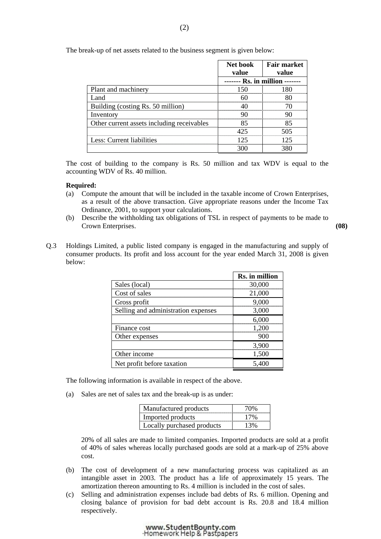The break-up of net assets related to the business segment is given below:

|                                            | Net book       | <b>Fair market</b> |
|--------------------------------------------|----------------|--------------------|
|                                            | value          | value              |
|                                            | Rs. in million |                    |
| Plant and machinery                        | 150            | 180                |
| Land                                       | 60             | 80                 |
| Building (costing Rs. 50 million)          |                |                    |
| Inventory                                  | 90             |                    |
| Other current assets including receivables | 85             | 85                 |
|                                            | 425            | 505                |
| Less: Current liabilities                  | 125            | 125                |
|                                            | 300            | 380                |

 The cost of building to the company is Rs. 50 million and tax WDV is equal to the accounting WDV of Rs. 40 million.

#### **Required:**

- (a) Compute the amount that will be included in the taxable income of Crown Enterprises, as a result of the above transaction. Give appropriate reasons under the Income Tax Ordinance, 2001, to support your calculations.
- (b) Describe the withholding tax obligations of TSL in respect of payments to be made to Crown Enterprises. **(08)**

Q.3 Holdings Limited, a public listed company is engaged in the manufacturing and supply of consumer products. Its profit and loss account for the year ended March 31, 2008 is given below:

|                                     | Rs. in million |
|-------------------------------------|----------------|
| Sales (local)                       | 30,000         |
| Cost of sales                       | 21,000         |
| Gross profit                        | 9,000          |
| Selling and administration expenses | 3,000          |
|                                     | 6,000          |
| Finance cost                        | 1,200          |
| Other expenses                      | 900            |
|                                     | 3,900          |
| Other income                        | 1,500          |
| Net profit before taxation          | 5,400          |

The following information is available in respect of the above.

(a) Sales are net of sales tax and the break-up is as under:

| Manufactured products     | ገ%        |
|---------------------------|-----------|
| Imported products         | 70/0      |
| ocally purchased products | $\cdot$ % |

 20% of all sales are made to limited companies. Imported products are sold at a profit of 40% of sales whereas locally purchased goods are sold at a mark-up of 25% above cost.

- (b) The cost of development of a new manufacturing process was capitalized as an intangible asset in 2003. The product has a life of approximately 15 years. The amortization thereon amounting to Rs. 4 million is included in the cost of sales.
- (c) Selling and administration expenses include bad debts of Rs. 6 million. Opening and closing balance of provision for bad debt account is Rs. 20.8 and 18.4 million respectively.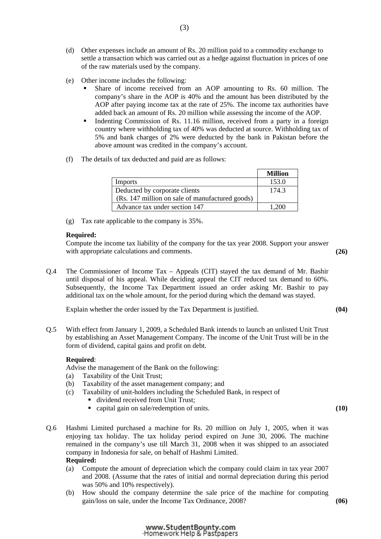- (d) Other expenses include an amount of Rs. 20 million paid to a commodity exchange to settle a transaction which was carried out as a hedge against fluctuation in prices of one of the raw materials used by the company.
- (e) Other income includes the following:
	- Share of income received from an AOP amounting to Rs. 60 million. The company's share in the AOP is 40% and the amount has been distributed by the AOP after paying income tax at the rate of 25%. The income tax authorities have added back an amount of Rs. 20 million while assessing the income of the AOP.
	- Indenting Commission of Rs. 11.16 million, received from a party in a foreign country where withholding tax of 40% was deducted at source. Withholding tax of 5% and bank charges of 2% were deducted by the bank in Pakistan before the above amount was credited in the company's account.
- (f) The details of tax deducted and paid are as follows:

|                                                 | <b>Million</b> |
|-------------------------------------------------|----------------|
| Imports                                         | 153.0          |
| Deducted by corporate clients                   | 174.3          |
| (Rs. 147 million on sale of manufactured goods) |                |
| Advance tax under section 147                   | .200           |

(g) Tax rate applicable to the company is 35%.

## **Required:**

Compute the income tax liability of the company for the tax year 2008. Support your answer with appropriate calculations and comments. **(26)** (26)

Q.4 The Commissioner of Income Tax – Appeals (CIT) stayed the tax demand of Mr. Bashir until disposal of his appeal. While deciding appeal the CIT reduced tax demand to 60%. Subsequently, the Income Tax Department issued an order asking Mr. Bashir to pay additional tax on the whole amount, for the period during which the demand was stayed.

Explain whether the order issued by the Tax Department is justified. **(04)**

Q.5 With effect from January 1, 2009, a Scheduled Bank intends to launch an unlisted Unit Trust by establishing an Asset Management Company. The income of the Unit Trust will be in the form of dividend, capital gains and profit on debt.

## **Required**:

Advise the management of the Bank on the following:

- (a) Taxability of the Unit Trust;
- (b) Taxability of the asset management company; and
- (c) Taxability of unit-holders including the Scheduled Bank, in respect of
	- dividend received from Unit Trust;
	- capital gain on sale/redemption of units. **(10)**
- Q.6 Hashmi Limited purchased a machine for Rs. 20 million on July 1, 2005, when it was enjoying tax holiday. The tax holiday period expired on June 30, 2006. The machine remained in the company's use till March 31, 2008 when it was shipped to an associated company in Indonesia for sale, on behalf of Hashmi Limited.

## **Required:**

- (a) Compute the amount of depreciation which the company could claim in tax year 2007 and 2008. (Assume that the rates of initial and normal depreciation during this period was 50% and 10% respectively).
- (b) How should the company determine the sale price of the machine for computing gain/loss on sale, under the Income Tax Ordinance, 2008? **(06)**